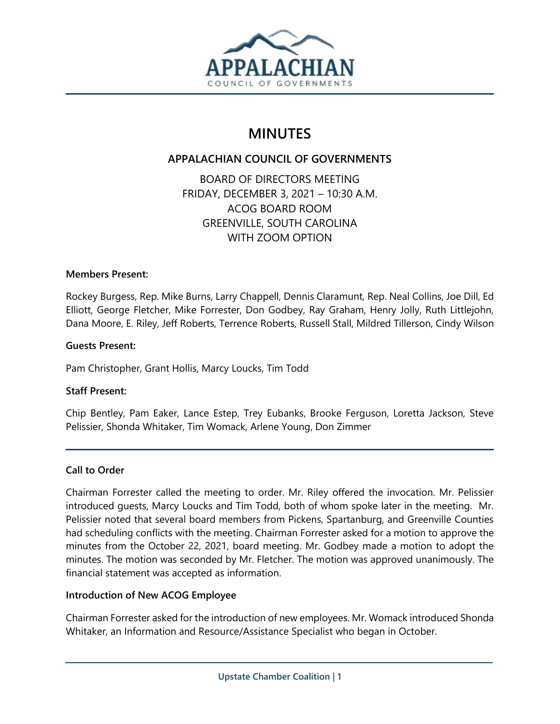

# **MINUTES**

# **APPALACHIAN COUNCIL OF GOVERNMENTS**

BOARD OF DIRECTORS MEETING FRIDAY, DECEMBER 3, 2021 – 10:30 A.M. ACOG BOARD ROOM GREENVILLE, SOUTH CAROLINA WITH ZOOM OPTION

## **Members Present:**

Rockey Burgess, Rep. Mike Burns, Larry Chappell, Dennis Claramunt, Rep. Neal Collins, Joe Dill, Ed Elliott, George Fletcher, Mike Forrester, Don Godbey, Ray Graham, Henry Jolly, Ruth Littlejohn, Dana Moore, E. Riley, Jeff Roberts, Terrence Roberts, Russell Stall, Mildred Tillerson, Cindy Wilson

## **Guests Present:**

Pam Christopher, Grant Hollis, Marcy Loucks, Tim Todd

#### **Staff Present:**

Chip Bentley, Pam Eaker, Lance Estep, Trey Eubanks, Brooke Ferguson, Loretta Jackson, Steve Pelissier, Shonda Whitaker, Tim Womack, Arlene Young, Don Zimmer

# **Call to Order**

Chairman Forrester called the meeting to order. Mr. Riley offered the invocation. Mr. Pelissier introduced guests, Marcy Loucks and Tim Todd, both of whom spoke later in the meeting. Mr. Pelissier noted that several board members from Pickens, Spartanburg, and Greenville Counties had scheduling conflicts with the meeting. Chairman Forrester asked for a motion to approve the minutes from the October 22, 2021, board meeting. Mr. Godbey made a motion to adopt the minutes. The motion was seconded by Mr. Fletcher. The motion was approved unanimously. The financial statement was accepted as information.

#### **Introduction of New ACOG Employee**

Chairman Forrester asked for the introduction of new employees. Mr. Womack introduced Shonda Whitaker, an Information and Resource/Assistance Specialist who began in October.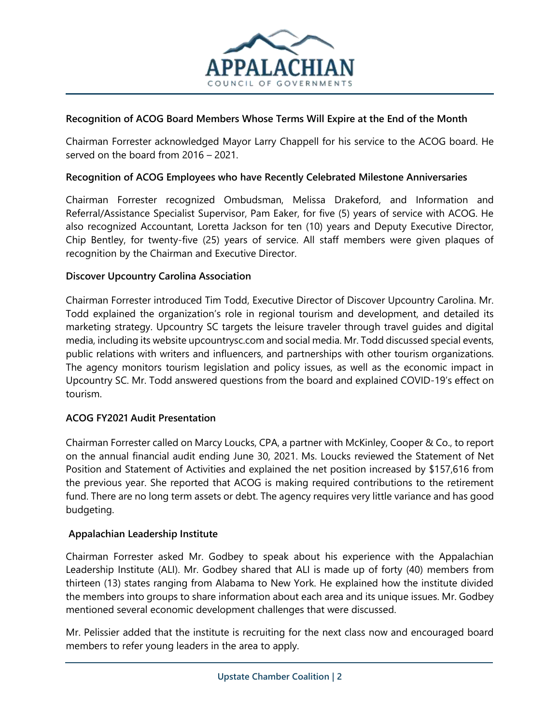

# **Recognition of ACOG Board Members Whose Terms Will Expire at the End of the Month**

Chairman Forrester acknowledged Mayor Larry Chappell for his service to the ACOG board. He served on the board from 2016 – 2021.

## **Recognition of ACOG Employees who have Recently Celebrated Milestone Anniversaries**

Chairman Forrester recognized Ombudsman, Melissa Drakeford, and Information and Referral/Assistance Specialist Supervisor, Pam Eaker, for five (5) years of service with ACOG. He also recognized Accountant, Loretta Jackson for ten (10) years and Deputy Executive Director, Chip Bentley, for twenty-five (25) years of service. All staff members were given plaques of recognition by the Chairman and Executive Director.

## **Discover Upcountry Carolina Association**

Chairman Forrester introduced Tim Todd, Executive Director of Discover Upcountry Carolina. Mr. Todd explained the organization's role in regional tourism and development, and detailed its marketing strategy. Upcountry SC targets the leisure traveler through travel guides and digital media, including its website upcountrysc.com and social media. Mr. Todd discussed special events, public relations with writers and influencers, and partnerships with other tourism organizations. The agency monitors tourism legislation and policy issues, as well as the economic impact in Upcountry SC. Mr. Todd answered questions from the board and explained COVID-19's effect on tourism.

# **ACOG FY2021 Audit Presentation**

Chairman Forrester called on Marcy Loucks, CPA, a partner with McKinley, Cooper & Co., to report on the annual financial audit ending June 30, 2021. Ms. Loucks reviewed the Statement of Net Position and Statement of Activities and explained the net position increased by \$157,616 from the previous year. She reported that ACOG is making required contributions to the retirement fund. There are no long term assets or debt. The agency requires very little variance and has good budgeting.

#### **Appalachian Leadership Institute**

Chairman Forrester asked Mr. Godbey to speak about his experience with the Appalachian Leadership Institute (ALI). Mr. Godbey shared that ALI is made up of forty (40) members from thirteen (13) states ranging from Alabama to New York. He explained how the institute divided the members into groups to share information about each area and its unique issues. Mr. Godbey mentioned several economic development challenges that were discussed.

Mr. Pelissier added that the institute is recruiting for the next class now and encouraged board members to refer young leaders in the area to apply.